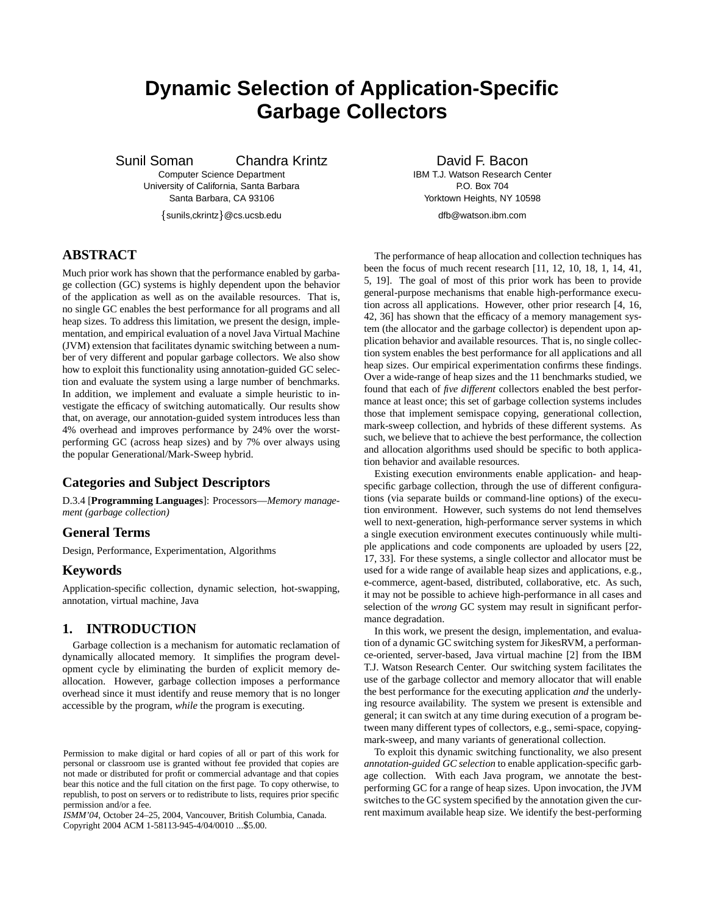# **Dynamic Selection of Application-Specific Garbage Collectors**

Sunil Soman Chandra Krintz

Computer Science Department University of California, Santa Barbara Santa Barbara, CA 93106

sunils,ckrintz @cs.ucsb.edu

# **ABSTRACT**

Much prior work has shown that the performance enabled by garbage collection (GC) systems is highly dependent upon the behavior of the application as well as on the available resources. That is, no single GC enables the best performance for all programs and all heap sizes. To address this limitation, we present the design, implementation, and empirical evaluation of a novel Java Virtual Machine (JVM) extension that facilitates dynamic switching between a number of very different and popular garbage collectors. We also show how to exploit this functionality using annotation-guided GC selection and evaluate the system using a large number of benchmarks. In addition, we implement and evaluate a simple heuristic to investigate the efficacy of switching automatically. Our results show that, on average, our annotation-guided system introduces less than 4% overhead and improves performance by 24% over the worstperforming GC (across heap sizes) and by 7% over always using the popular Generational/Mark-Sweep hybrid.

# **Categories and Subject Descriptors**

D.3.4 [**Programming Languages**]: Processors—*Memory management (garbage collection)*

## **General Terms**

Design, Performance, Experimentation, Algorithms

#### **Keywords**

Application-specific collection, dynamic selection, hot-swapping, annotation, virtual machine, Java

# **1. INTRODUCTION**

Garbage collection is a mechanism for automatic reclamation of dynamically allocated memory. It simplifies the program development cycle by eliminating the burden of explicit memory deallocation. However, garbage collection imposes a performance overhead since it must identify and reuse memory that is no longer accessible by the program, *while* the program is executing.

*ISMM'04,* October 24–25, 2004, Vancouver, British Columbia, Canada. Copyright 2004 ACM 1-58113-945-4/04/0010 ...\$5.00.

David F. Bacon IBM T.J. Watson Research Center P.O. Box 704 Yorktown Heights, NY 10598 dfb@watson.ibm.com

The performance of heap allocation and collection techniques has been the focus of much recent research [11, 12, 10, 18, 1, 14, 41, 5, 19]. The goal of most of this prior work has been to provide general-purpose mechanisms that enable high-performance execution across all applications. However, other prior research [4, 16, 42, 36] has shown that the efficacy of a memory management system (the allocator and the garbage collector) is dependent upon application behavior and available resources. That is, no single collection system enables the best performance for all applications and all heap sizes. Our empirical experimentation confirms these findings. Over a wide-range of heap sizes and the 11 benchmarks studied, we found that each of *five different* collectors enabled the best performance at least once; this set of garbage collection systems includes those that implement semispace copying, generational collection, mark-sweep collection, and hybrids of these different systems. As such, we believe that to achieve the best performance, the collection and allocation algorithms used should be specific to both application behavior and available resources.

Existing execution environments enable application- and heapspecific garbage collection, through the use of different configurations (via separate builds or command-line options) of the execution environment. However, such systems do not lend themselves well to next-generation, high-performance server systems in which a single execution environment executes continuously while multiple applications and code components are uploaded by users [22, 17, 33]. For these systems, a single collector and allocator must be used for a wide range of available heap sizes and applications, e.g., e-commerce, agent-based, distributed, collaborative, etc. As such, it may not be possible to achieve high-performance in all cases and selection of the *wrong* GC system may result in significant performance degradation.

In this work, we present the design, implementation, and evaluation of a dynamic GC switching system for JikesRVM, a performance-oriented, server-based, Java virtual machine [2] from the IBM T.J. Watson Research Center. Our switching system facilitates the use of the garbage collector and memory allocator that will enable the best performance for the executing application *and* the underlying resource availability. The system we present is extensible and general; it can switch at any time during execution of a program between many different types of collectors, e.g., semi-space, copyingmark-sweep, and many variants of generational collection.

To exploit this dynamic switching functionality, we also present *annotation-guided GC selection* to enable application-specific garbage collection. With each Java program, we annotate the bestperforming GC for a range of heap sizes. Upon invocation, the JVM switches to the GC system specified by the annotation given the current maximum available heap size. We identify the best-performing

Permission to make digital or hard copies of all or part of this work for personal or classroom use is granted without fee provided that copies are not made or distributed for profit or commercial advantage and that copies bear this notice and the full citation on the first page. To copy otherwise, to republish, to post on servers or to redistribute to lists, requires prior specific permission and/or a fee.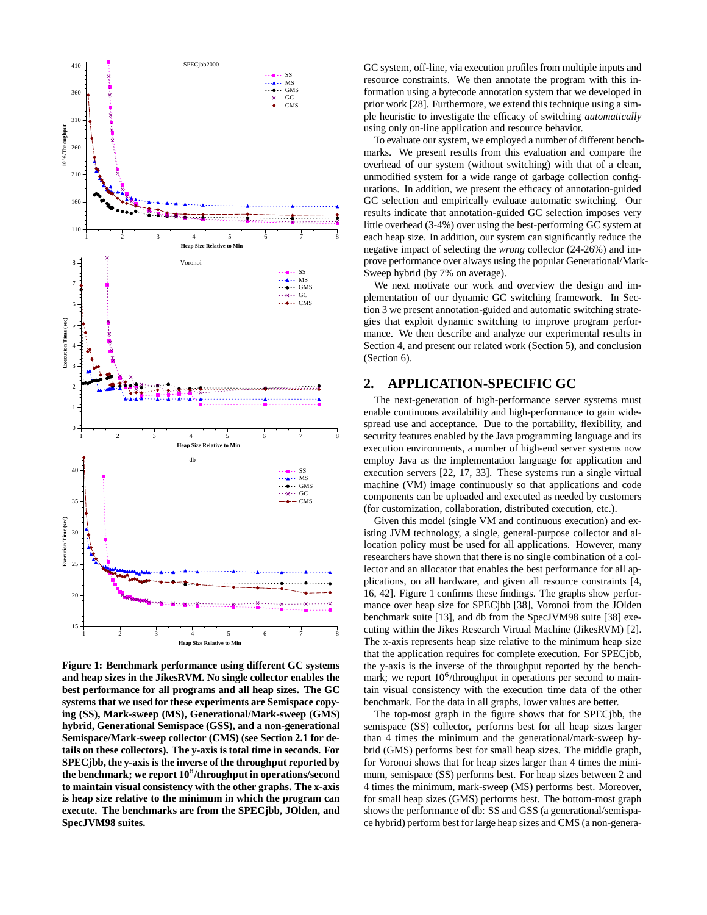

**Figure 1: Benchmark performance using different GC systems and heap sizes in the JikesRVM. No single collector enables the best performance for all programs and all heap sizes. The GC systems that we used for these experiments are Semispace copying (SS), Mark-sweep (MS), Generational/Mark-sweep (GMS) hybrid, Generational Semispace (GSS), and a non-generational Semispace/Mark-sweep collector (CMS) (see Section 2.1 for details on these collectors). The y-axis is total time in seconds. For SPECjbb, the y-axis is the inverse of the throughput reported by the benchmark; we report 10**- **/throughput in operations/second to maintain visual consistency with the other graphs. The x-axis is heap size relative to the minimum in which the program can execute. The benchmarks are from the SPECjbb, JOlden, and SpecJVM98 suites.**

GC system, off-line, via execution profiles from multiple inputs and resource constraints. We then annotate the program with this information using a bytecode annotation system that we developed in prior work [28]. Furthermore, we extend this technique using a simple heuristic to investigate the efficacy of switching *automatically* using only on-line application and resource behavior.

To evaluate our system, we employed a number of different benchmarks. We present results from this evaluation and compare the overhead of our system (without switching) with that of a clean, unmodified system for a wide range of garbage collection configurations. In addition, we present the efficacy of annotation-guided GC selection and empirically evaluate automatic switching. Our results indicate that annotation-guided GC selection imposes very little overhead (3-4%) over using the best-performing GC system at each heap size. In addition, our system can significantly reduce the negative impact of selecting the *wrong* collector (24-26%) and improve performance over always using the popular Generational/Mark-Sweep hybrid (by 7% on average).

We next motivate our work and overview the design and implementation of our dynamic GC switching framework. In Section 3 we present annotation-guided and automatic switching strategies that exploit dynamic switching to improve program performance. We then describe and analyze our experimental results in Section 4, and present our related work (Section 5), and conclusion (Section 6).

## **2. APPLICATION-SPECIFIC GC**

The next-generation of high-performance server systems must enable continuous availability and high-performance to gain widespread use and acceptance. Due to the portability, flexibility, and security features enabled by the Java programming language and its execution environments, a number of high-end server systems now employ Java as the implementation language for application and execution servers [22, 17, 33]. These systems run a single virtual machine (VM) image continuously so that applications and code components can be uploaded and executed as needed by customers (for customization, collaboration, distributed execution, etc.).

Given this model (single VM and continuous execution) and existing JVM technology, a single, general-purpose collector and allocation policy must be used for all applications. However, many researchers have shown that there is no single combination of a collector and an allocator that enables the best performance for all applications, on all hardware, and given all resource constraints [4, 16, 42]. Figure 1 confirms these findings. The graphs show performance over heap size for SPECjbb [38], Voronoi from the JOlden benchmark suite [13], and db from the SpecJVM98 suite [38] executing within the Jikes Research Virtual Machine (JikesRVM) [2]. The x-axis represents heap size relative to the minimum heap size that the application requires for complete execution. For SPECjbb, the y-axis is the inverse of the throughput reported by the benchmark; we report  $10^6$ /throughput in operations per second to maintain visual consistency with the execution time data of the other benchmark. For the data in all graphs, lower values are better.

The top-most graph in the figure shows that for SPECjbb, the semispace (SS) collector, performs best for all heap sizes larger than 4 times the minimum and the generational/mark-sweep hybrid (GMS) performs best for small heap sizes. The middle graph, for Voronoi shows that for heap sizes larger than 4 times the minimum, semispace (SS) performs best. For heap sizes between 2 and 4 times the minimum, mark-sweep (MS) performs best. Moreover, for small heap sizes (GMS) performs best. The bottom-most graph shows the performance of db: SS and GSS (a generational/semispace hybrid) perform best for large heap sizes and CMS (a non-genera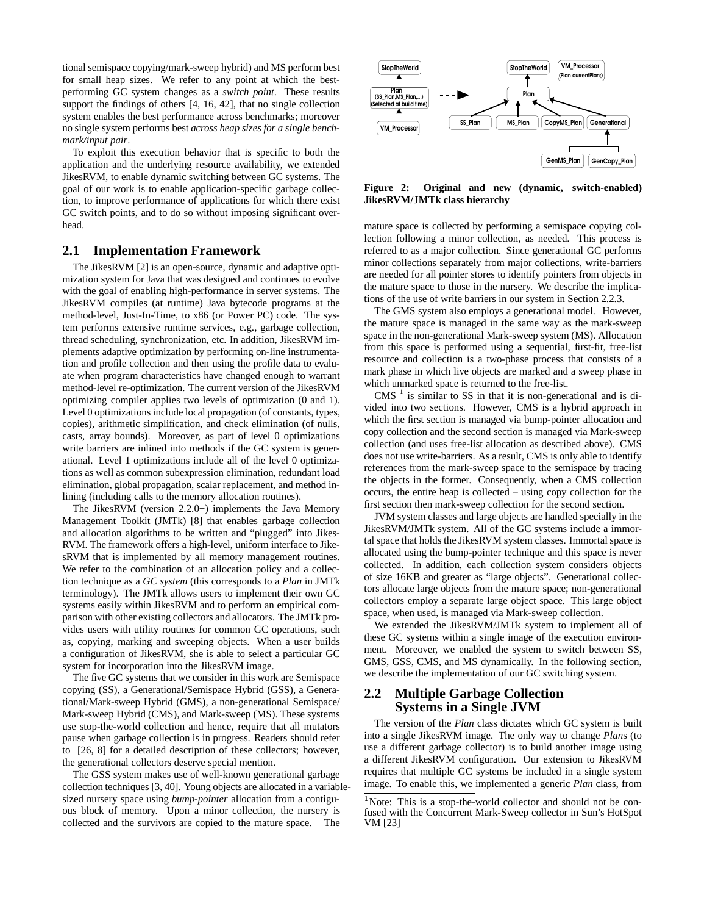tional semispace copying/mark-sweep hybrid) and MS perform best for small heap sizes. We refer to any point at which the bestperforming GC system changes as a *switch point*. These results support the findings of others [4, 16, 42], that no single collection system enables the best performance across benchmarks; moreover no single system performs best *across heap sizes for a single benchmark/input pair*.

To exploit this execution behavior that is specific to both the application and the underlying resource availability, we extended JikesRVM, to enable dynamic switching between GC systems. The goal of our work is to enable application-specific garbage collection, to improve performance of applications for which there exist GC switch points, and to do so without imposing significant overhead.

#### **2.1 Implementation Framework**

The JikesRVM [2] is an open-source, dynamic and adaptive optimization system for Java that was designed and continues to evolve with the goal of enabling high-performance in server systems. The JikesRVM compiles (at runtime) Java bytecode programs at the method-level, Just-In-Time, to x86 (or Power PC) code. The system performs extensive runtime services, e.g., garbage collection, thread scheduling, synchronization, etc. In addition, JikesRVM implements adaptive optimization by performing on-line instrumentation and profile collection and then using the profile data to evaluate when program characteristics have changed enough to warrant method-level re-optimization. The current version of the JikesRVM optimizing compiler applies two levels of optimization (0 and 1). Level 0 optimizations include local propagation (of constants, types, copies), arithmetic simplification, and check elimination (of nulls, casts, array bounds). Moreover, as part of level 0 optimizations write barriers are inlined into methods if the GC system is generational. Level 1 optimizations include all of the level 0 optimizations as well as common subexpression elimination, redundant load elimination, global propagation, scalar replacement, and method inlining (including calls to the memory allocation routines).

The JikesRVM (version 2.2.0+) implements the Java Memory Management Toolkit (JMTk) [8] that enables garbage collection and allocation algorithms to be written and "plugged" into Jikes-RVM. The framework offers a high-level, uniform interface to JikesRVM that is implemented by all memory management routines. We refer to the combination of an allocation policy and a collection technique as a *GC system* (this corresponds to a *Plan* in JMTk terminology). The JMTk allows users to implement their own GC systems easily within JikesRVM and to perform an empirical comparison with other existing collectors and allocators. The JMTk provides users with utility routines for common GC operations, such as, copying, marking and sweeping objects. When a user builds a configuration of JikesRVM, she is able to select a particular GC system for incorporation into the JikesRVM image.

The five GC systems that we consider in this work are Semispace copying (SS), a Generational/Semispace Hybrid (GSS), a Generational/Mark-sweep Hybrid (GMS), a non-generational Semispace/ Mark-sweep Hybrid (CMS), and Mark-sweep (MS). These systems use stop-the-world collection and hence, require that all mutators pause when garbage collection is in progress. Readers should refer to [26, 8] for a detailed description of these collectors; however, the generational collectors deserve special mention.

The GSS system makes use of well-known generational garbage collection techniques [3, 40]. Young objects are allocated in a variablesized nursery space using *bump-pointer* allocation from a contiguous block of memory. Upon a minor collection, the nursery is collected and the survivors are copied to the mature space. The



**Figure 2: Original and new (dynamic, switch-enabled) JikesRVM/JMTk class hierarchy**

mature space is collected by performing a semispace copying collection following a minor collection, as needed. This process is referred to as a major collection. Since generational GC performs minor collections separately from major collections, write-barriers are needed for all pointer stores to identify pointers from objects in the mature space to those in the nursery. We describe the implications of the use of write barriers in our system in Section 2.2.3.

The GMS system also employs a generational model. However, the mature space is managed in the same way as the mark-sweep space in the non-generational Mark-sweep system (MS). Allocation from this space is performed using a sequential, first-fit, free-list resource and collection is a two-phase process that consists of a mark phase in which live objects are marked and a sweep phase in which unmarked space is returned to the free-list.

 $CMS<sup>1</sup>$  is similar to SS in that it is non-generational and is divided into two sections. However, CMS is a hybrid approach in which the first section is managed via bump-pointer allocation and copy collection and the second section is managed via Mark-sweep collection (and uses free-list allocation as described above). CMS does not use write-barriers. As a result, CMS is only able to identify references from the mark-sweep space to the semispace by tracing the objects in the former. Consequently, when a CMS collection occurs, the entire heap is collected – using copy collection for the first section then mark-sweep collection for the second section.

JVM system classes and large objects are handled specially in the JikesRVM/JMTk system. All of the GC systems include a immortal space that holds the JikesRVM system classes. Immortal space is allocated using the bump-pointer technique and this space is never collected. In addition, each collection system considers objects of size 16KB and greater as "large objects". Generational collectors allocate large objects from the mature space; non-generational collectors employ a separate large object space. This large object space, when used, is managed via Mark-sweep collection.

We extended the JikesRVM/JMTk system to implement all of these GC systems within a single image of the execution environment. Moreover, we enabled the system to switch between SS, GMS, GSS, CMS, and MS dynamically. In the following section, we describe the implementation of our GC switching system.

## **2.2 Multiple Garbage Collection Systems in a Single JVM**

The version of the *Plan* class dictates which GC system is built into a single JikesRVM image. The only way to change *Plan*s (to use a different garbage collector) is to build another image using a different JikesRVM configuration. Our extension to JikesRVM requires that multiple GC systems be included in a single system image. To enable this, we implemented a generic *Plan* class, from

<sup>&</sup>lt;sup>1</sup>Note: This is a stop-the-world collector and should not be confused with the Concurrent Mark-Sweep collector in Sun's HotSpot VM [23]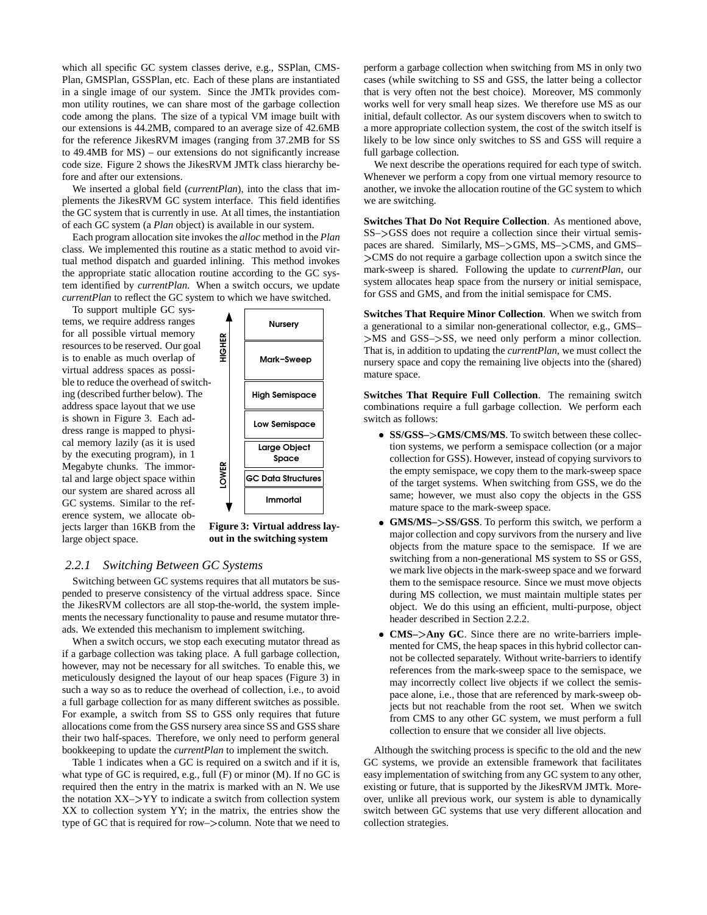which all specific GC system classes derive, e.g., SSPlan, CMS-Plan, GMSPlan, GSSPlan, etc. Each of these plans are instantiated in a single image of our system. Since the JMTk provides common utility routines, we can share most of the garbage collection code among the plans. The size of a typical VM image built with our extensions is 44.2MB, compared to an average size of 42.6MB for the reference JikesRVM images (ranging from 37.2MB for SS to 49.4MB for MS) – our extensions do not significantly increase code size. Figure 2 shows the JikesRVM JMTk class hierarchy before and after our extensions.

We inserted a global field (*currentPlan*), into the class that implements the JikesRVM GC system interface. This field identifies the GC system that is currently in use. At all times, the instantiation of each GC system (a *Plan* object) is available in our system.

Each program allocation site invokes the *alloc* method in the *Plan* class. We implemented this routine as a static method to avoid virtual method dispatch and guarded inlining. This method invokes the appropriate static allocation routine according to the GC system identified by *currentPlan*. When a switch occurs, we update *currentPlan* to reflect the GC system to which we have switched.

To support multiple GC systems, we require address ranges for all possible virtual memory resources to be reserved. Our goal is to enable as much overlap of virtual address spaces as possible to reduce the overhead of switching (described further below). The address space layout that we use is shown in Figure 3. Each address range is mapped to physical memory lazily (as it is used by the executing program), in 1 Megabyte chunks. The immortal and large object space within our system are shared across all GC systems. Similar to the reference system, we allocate objects larger than 16KB from the large object space.



**Figure 3: Virtual address layout in the switching system**

#### *2.2.1 Switching Between GC Systems*

Switching between GC systems requires that all mutators be suspended to preserve consistency of the virtual address space. Since the JikesRVM collectors are all stop-the-world, the system implements the necessary functionality to pause and resume mutator threads. We extended this mechanism to implement switching.

When a switch occurs, we stop each executing mutator thread as if a garbage collection was taking place. A full garbage collection, however, may not be necessary for all switches. To enable this, we meticulously designed the layout of our heap spaces (Figure 3) in such a way so as to reduce the overhead of collection, i.e., to avoid a full garbage collection for as many different switches as possible. For example, a switch from SS to GSS only requires that future allocations come from the GSS nursery area since SS and GSS share their two half-spaces. Therefore, we only need to perform general bookkeeping to update the *currentPlan* to implement the switch.

Table 1 indicates when a GC is required on a switch and if it is, what type of GC is required, e.g., full (F) or minor (M). If no GC is required then the entry in the matrix is marked with an N. We use the notation XX–YY to indicate a switch from collection system XX to collection system YY; in the matrix, the entries show the type of GC that is required for row–>column. Note that we need to perform a garbage collection when switching from MS in only two cases (while switching to SS and GSS, the latter being a collector that is very often not the best choice). Moreover, MS commonly works well for very small heap sizes. We therefore use MS as our initial, default collector. As our system discovers when to switch to a more appropriate collection system, the cost of the switch itself is likely to be low since only switches to SS and GSS will require a full garbage collection.

We next describe the operations required for each type of switch. Whenever we perform a copy from one virtual memory resource to another, we invoke the allocation routine of the GC system to which we are switching.

**Switches That Do Not Require Collection**. As mentioned above, SS–>GSS does not require a collection since their virtual semispaces are shared. Similarly, MS->GMS, MS->CMS, and GMS-CMS do not require a garbage collection upon a switch since the mark-sweep is shared. Following the update to *currentPlan*, our system allocates heap space from the nursery or initial semispace, for GSS and GMS, and from the initial semispace for CMS.

**Switches That Require Minor Collection**. When we switch from a generational to a similar non-generational collector, e.g., GMS– >MS and GSS->SS, we need only perform a minor collection. That is, in addition to updating the *currentPlan*, we must collect the nursery space and copy the remaining live objects into the (shared) mature space.

**Switches That Require Full Collection**. The remaining switch combinations require a full garbage collection. We perform each switch as follows:

- **SS/GSS–GMS/CMS/MS**. To switch between these collection systems, we perform a semispace collection (or a major collection for GSS). However, instead of copying survivors to the empty semispace, we copy them to the mark-sweep space of the target systems. When switching from GSS, we do the same; however, we must also copy the objects in the GSS mature space to the mark-sweep space.
- **GMS/MS–SS/GSS**. To perform this switch, we perform a major collection and copy survivors from the nursery and live objects from the mature space to the semispace. If we are switching from a non-generational MS system to SS or GSS, we mark live objects in the mark-sweep space and we forward them to the semispace resource. Since we must move objects during MS collection, we must maintain multiple states per object. We do this using an efficient, multi-purpose, object header described in Section 2.2.2.
- **CMS–Any GC**. Since there are no write-barriers implemented for CMS, the heap spaces in this hybrid collector cannot be collected separately. Without write-barriers to identify references from the mark-sweep space to the semispace, we may incorrectly collect live objects if we collect the semispace alone, i.e., those that are referenced by mark-sweep objects but not reachable from the root set. When we switch from CMS to any other GC system, we must perform a full collection to ensure that we consider all live objects.

Although the switching process is specific to the old and the new GC systems, we provide an extensible framework that facilitates easy implementation of switching from any GC system to any other, existing or future, that is supported by the JikesRVM JMTk. Moreover, unlike all previous work, our system is able to dynamically switch between GC systems that use very different allocation and collection strategies.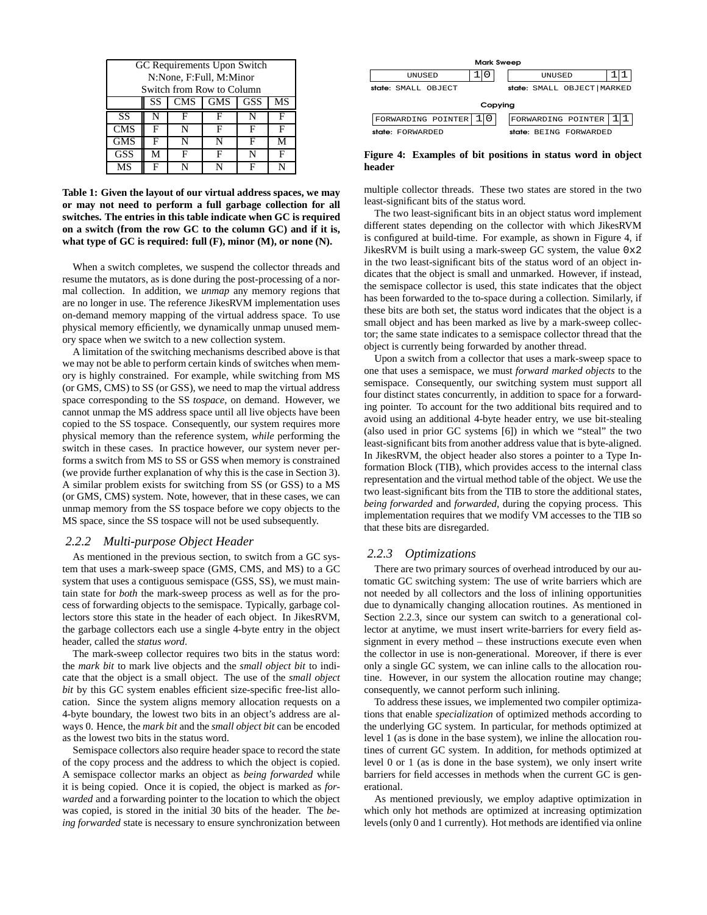| GC Requirements Upon Switch<br>N:None, F:Full, M:Minor                                 |   |   |   |   |   |
|----------------------------------------------------------------------------------------|---|---|---|---|---|
| Switch from Row to Column<br><b>GMS</b><br><b>SS</b><br><b>CMS</b><br><b>GSS</b><br>MS |   |   |   |   |   |
| <b>SS</b>                                                                              | N | F | F | N |   |
| <b>CMS</b>                                                                             | F | N | F | F |   |
| <b>GMS</b>                                                                             | F | N | N | F | М |
| <b>GSS</b>                                                                             | М | F | F | N | F |
| MS                                                                                     | F |   | N | F |   |

**Table 1: Given the layout of our virtual address spaces, we may or may not need to perform a full garbage collection for all switches. The entries in this table indicate when GC is required on a switch (from the row GC to the column GC) and if it is, what type of GC is required: full (F), minor (M), or none (N).**

When a switch completes, we suspend the collector threads and resume the mutators, as is done during the post-processing of a normal collection. In addition, we *unmap* any memory regions that are no longer in use. The reference JikesRVM implementation uses on-demand memory mapping of the virtual address space. To use physical memory efficiently, we dynamically unmap unused memory space when we switch to a new collection system.

A limitation of the switching mechanisms described above is that we may not be able to perform certain kinds of switches when memory is highly constrained. For example, while switching from MS (or GMS, CMS) to SS (or GSS), we need to map the virtual address space corresponding to the SS *tospace*, on demand. However, we cannot unmap the MS address space until all live objects have been copied to the SS tospace. Consequently, our system requires more physical memory than the reference system, *while* performing the switch in these cases. In practice however, our system never performs a switch from MS to SS or GSS when memory is constrained (we provide further explanation of why this is the case in Section 3). A similar problem exists for switching from SS (or GSS) to a MS (or GMS, CMS) system. Note, however, that in these cases, we can unmap memory from the SS tospace before we copy objects to the MS space, since the SS tospace will not be used subsequently.

## *2.2.2 Multi-purpose Object Header*

As mentioned in the previous section, to switch from a GC system that uses a mark-sweep space (GMS, CMS, and MS) to a GC system that uses a contiguous semispace (GSS, SS), we must maintain state for *both* the mark-sweep process as well as for the process of forwarding objects to the semispace. Typically, garbage collectors store this state in the header of each object. In JikesRVM, the garbage collectors each use a single 4-byte entry in the object header, called the *status word*.

The mark-sweep collector requires two bits in the status word: the *mark bit* to mark live objects and the *small object bit* to indicate that the object is a small object. The use of the *small object bit* by this GC system enables efficient size-specific free-list allocation. Since the system aligns memory allocation requests on a 4-byte boundary, the lowest two bits in an object's address are always 0. Hence, the *mark bit* and the *small object bit* can be encoded as the lowest two bits in the status word.

Semispace collectors also require header space to record the state of the copy process and the address to which the object is copied. A semispace collector marks an object as *being forwarded* while it is being copied. Once it is copied, the object is marked as *forwarded* and a forwarding pointer to the location to which the object was copied, is stored in the initial 30 bits of the header. The *being forwarded* state is necessary to ensure synchronization between



**Figure 4: Examples of bit positions in status word in object header**

multiple collector threads. These two states are stored in the two least-significant bits of the status word.

The two least-significant bits in an object status word implement different states depending on the collector with which JikesRVM is configured at build-time. For example, as shown in Figure 4, if JikesRVM is built using a mark-sweep GC system, the value  $0 \times 2$ in the two least-significant bits of the status word of an object indicates that the object is small and unmarked. However, if instead, the semispace collector is used, this state indicates that the object has been forwarded to the to-space during a collection. Similarly, if these bits are both set, the status word indicates that the object is a small object and has been marked as live by a mark-sweep collector; the same state indicates to a semispace collector thread that the object is currently being forwarded by another thread.

Upon a switch from a collector that uses a mark-sweep space to one that uses a semispace, we must *forward marked objects* to the semispace. Consequently, our switching system must support all four distinct states concurrently, in addition to space for a forwarding pointer. To account for the two additional bits required and to avoid using an additional 4-byte header entry, we use bit-stealing (also used in prior GC systems [6]) in which we "steal" the two least-significant bits from another address value that is byte-aligned. In JikesRVM, the object header also stores a pointer to a Type Information Block (TIB), which provides access to the internal class representation and the virtual method table of the object. We use the two least-significant bits from the TIB to store the additional states, *being forwarded* and *forwarded*, during the copying process. This implementation requires that we modify VM accesses to the TIB so that these bits are disregarded.

#### *2.2.3 Optimizations*

There are two primary sources of overhead introduced by our automatic GC switching system: The use of write barriers which are not needed by all collectors and the loss of inlining opportunities due to dynamically changing allocation routines. As mentioned in Section 2.2.3, since our system can switch to a generational collector at anytime, we must insert write-barriers for every field assignment in every method – these instructions execute even when the collector in use is non-generational. Moreover, if there is ever only a single GC system, we can inline calls to the allocation routine. However, in our system the allocation routine may change; consequently, we cannot perform such inlining.

To address these issues, we implemented two compiler optimizations that enable *specialization* of optimized methods according to the underlying GC system. In particular, for methods optimized at level 1 (as is done in the base system), we inline the allocation routines of current GC system. In addition, for methods optimized at level 0 or 1 (as is done in the base system), we only insert write barriers for field accesses in methods when the current GC is generational.

As mentioned previously, we employ adaptive optimization in which only hot methods are optimized at increasing optimization levels(only 0 and 1 currently). Hot methods are identified via online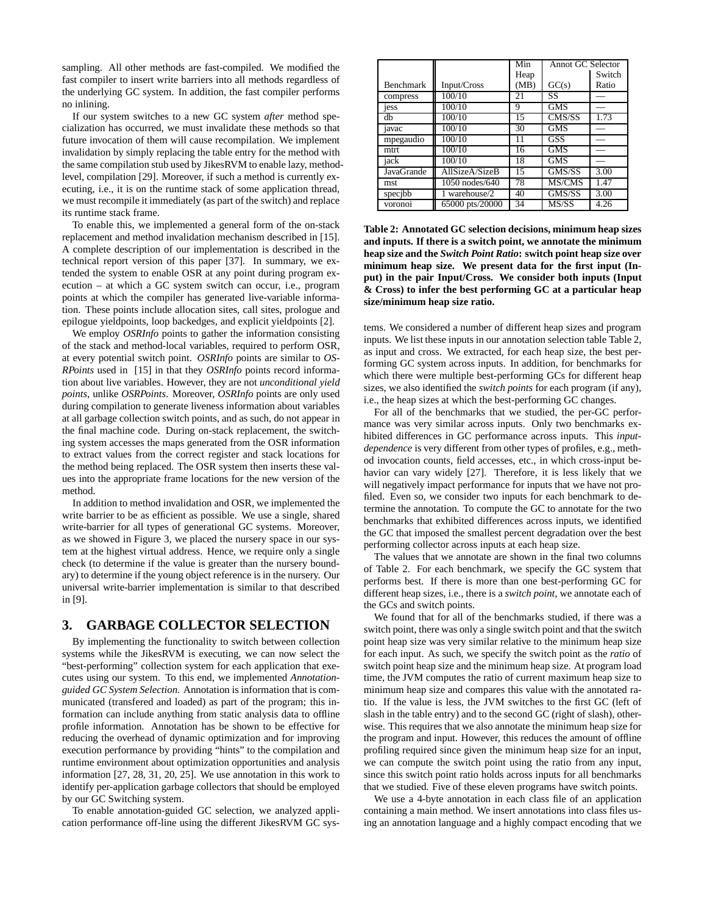sampling. All other methods are fast-compiled. We modified the fast compiler to insert write barriers into all methods regardless of the underlying GC system. In addition, the fast compiler performs no inlining.

If our system switches to a new GC system *after* method specialization has occurred, we must invalidate these methods so that future invocation of them will cause recompilation. We implement invalidation by simply replacing the table entry for the method with the same compilation stub used by JikesRVM to enable lazy, methodlevel, compilation [29]. Moreover, if such a method is currently executing, i.e., it is on the runtime stack of some application thread, we must recompile it immediately (as part of the switch) and replace its runtime stack frame.

To enable this, we implemented a general form of the on-stack replacement and method invalidation mechanism described in [15]. A complete description of our implementation is described in the technical report version of this paper [37]. In summary, we extended the system to enable OSR at any point during program execution – at which a GC system switch can occur, i.e., program points at which the compiler has generated live-variable information. These points include allocation sites, call sites, prologue and epilogue yieldpoints, loop backedges, and explicit yieldpoints [2].

We employ *OSRInfo* points to gather the information consisting of the stack and method-local variables, required to perform OSR, at every potential switch point. *OSRInfo* points are similar to *OS-RPoints* used in [15] in that they *OSRInfo* points record information about live variables. However, they are not *unconditional yield points*, unlike *OSRPoints*. Moreover, *OSRInfo* points are only used during compilation to generate liveness information about variables at all garbage collection switch points, and as such, do not appear in the final machine code. During on-stack replacement, the switching system accesses the maps generated from the OSR information to extract values from the correct register and stack locations for the method being replaced. The OSR system then inserts these values into the appropriate frame locations for the new version of the method.

In addition to method invalidation and OSR, we implemented the write barrier to be as efficient as possible. We use a single, shared write-barrier for all types of generational GC systems. Moreover, as we showed in Figure 3, we placed the nursery space in our system at the highest virtual address. Hence, we require only a single check (to determine if the value is greater than the nursery boundary) to determine if the young object reference is in the nursery. Our universal write-barrier implementation is similar to that described in [9].

## **3. GARBAGE COLLECTOR SELECTION**

By implementing the functionality to switch between collection systems while the JikesRVM is executing, we can now select the "best-performing" collection system for each application that executes using our system. To this end, we implemented *Annotationguided GC System Selection*. Annotation is information that is communicated (transfered and loaded) as part of the program; this information can include anything from static analysis data to offline profile information. Annotation has be shown to be effective for reducing the overhead of dynamic optimization and for improving execution performance by providing "hints" to the compilation and runtime environment about optimization opportunities and analysis information [27, 28, 31, 20, 25]. We use annotation in this work to identify per-application garbage collectors that should be employed by our GC Switching system.

To enable annotation-guided GC selection, we analyzed application performance off-line using the different JikesRVM GC sys-

|                  |                 | Min  | Annot GC Selector           |        |
|------------------|-----------------|------|-----------------------------|--------|
|                  |                 | Heap |                             | Switch |
| <b>Benchmark</b> | Input/Cross     | (MB) | GC(s)                       | Ratio  |
| compress         | 100/10          | 21   | SS                          |        |
| jess             | 100/10          | 9    | <b>GMS</b>                  |        |
| db               | 100/10          | 15   | CMS/SS                      | 1.73   |
| javac            | 100/10          | 30   | <b>GMS</b>                  |        |
| mpegaudio        | 100/10          | 11   | GSS                         |        |
| mtrt.            | 100/10          | 16   | <b>GMS</b>                  |        |
| jack             | 100/10          | 18   | <b>GMS</b>                  |        |
| JavaGrande       | AllSizeA/SizeB  | 15   | GMS/SS                      | 3.00   |
| mst.             | 1050 nodes/640  | 78   | MS/CMS                      | 1.47   |
| specjbb          | 1 warehouse/2   | 40   | $\overline{\text{GMS}}$ /SS | 3.00   |
| voronoi          | 65000 pts/20000 | 34   | MS/SS                       | 4.26   |

**Table 2: Annotated GC selection decisions, minimum heap sizes and inputs. If there is a switch point, we annotate the minimum heap size and the** *Switch Point Ratio***: switch point heap size over minimum heap size. We present data for the first input (Input) in the pair Input/Cross. We consider both inputs (Input & Cross) to infer the best performing GC at a particular heap size/minimum heap size ratio.**

tems. We considered a number of different heap sizes and program inputs. We list these inputs in our annotation selection table Table 2, as input and cross. We extracted, for each heap size, the best performing GC system across inputs. In addition, for benchmarks for which there were multiple best-performing GCs for different heap sizes, we also identified the *switch points* for each program (if any), i.e., the heap sizes at which the best-performing GC changes.

For all of the benchmarks that we studied, the per-GC performance was very similar across inputs. Only two benchmarks exhibited differences in GC performance across inputs. This *inputdependence* is very different from other types of profiles, e.g., method invocation counts, field accesses, etc., in which cross-input behavior can vary widely [27]. Therefore, it is less likely that we will negatively impact performance for inputs that we have not profiled. Even so, we consider two inputs for each benchmark to determine the annotation. To compute the GC to annotate for the two benchmarks that exhibited differences across inputs, we identified the GC that imposed the smallest percent degradation over the best performing collector across inputs at each heap size.

The values that we annotate are shown in the final two columns of Table 2. For each benchmark, we specify the GC system that performs best. If there is more than one best-performing GC for different heap sizes, i.e., there is a *switch point*, we annotate each of the GCs and switch points.

We found that for all of the benchmarks studied, if there was a switch point, there was only a single switch point and that the switch point heap size was very similar relative to the minimum heap size for each input. As such, we specify the switch point as the *ratio* of switch point heap size and the minimum heap size. At program load time, the JVM computes the ratio of current maximum heap size to minimum heap size and compares this value with the annotated ratio. If the value is less, the JVM switches to the first GC (left of slash in the table entry) and to the second GC (right of slash), otherwise. This requires that we also annotate the minimum heap size for the program and input. However, this reduces the amount of offline profiling required since given the minimum heap size for an input, we can compute the switch point using the ratio from any input, since this switch point ratio holds across inputs for all benchmarks that we studied. Five of these eleven programs have switch points.

We use a 4-byte annotation in each class file of an application containing a main method. We insert annotations into class files using an annotation language and a highly compact encoding that we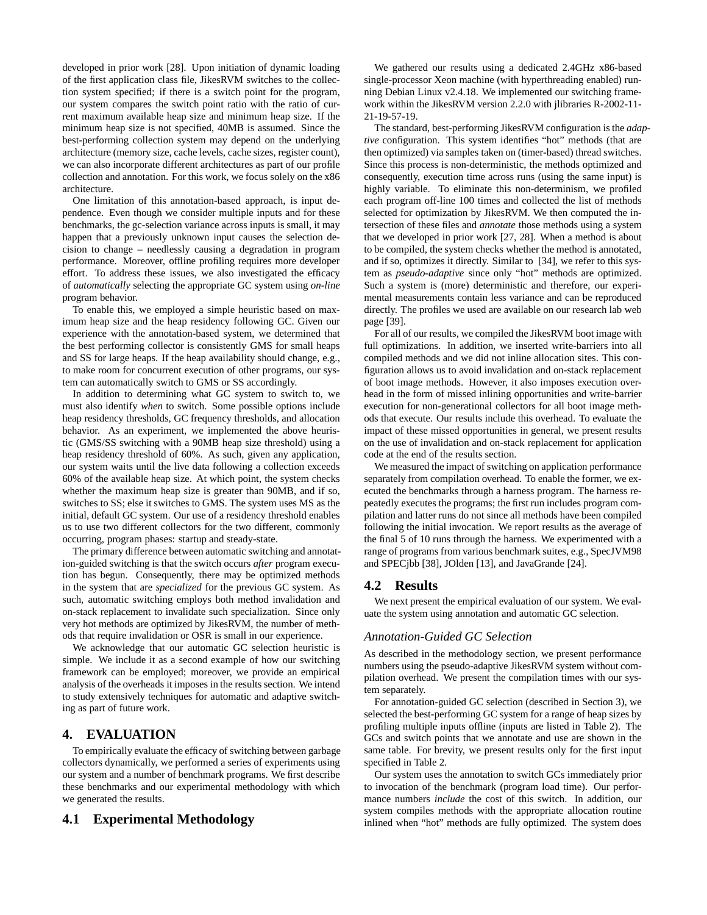developed in prior work [28]. Upon initiation of dynamic loading of the first application class file, JikesRVM switches to the collection system specified; if there is a switch point for the program, our system compares the switch point ratio with the ratio of current maximum available heap size and minimum heap size. If the minimum heap size is not specified, 40MB is assumed. Since the best-performing collection system may depend on the underlying architecture (memory size, cache levels, cache sizes, register count), we can also incorporate different architectures as part of our profile collection and annotation. For this work, we focus solely on the x86 architecture.

One limitation of this annotation-based approach, is input dependence. Even though we consider multiple inputs and for these benchmarks, the gc-selection variance across inputs is small, it may happen that a previously unknown input causes the selection decision to change – needlessly causing a degradation in program performance. Moreover, offline profiling requires more developer effort. To address these issues, we also investigated the efficacy of *automatically* selecting the appropriate GC system using *on-line* program behavior.

To enable this, we employed a simple heuristic based on maximum heap size and the heap residency following GC. Given our experience with the annotation-based system, we determined that the best performing collector is consistently GMS for small heaps and SS for large heaps. If the heap availability should change, e.g., to make room for concurrent execution of other programs, our system can automatically switch to GMS or SS accordingly.

In addition to determining what GC system to switch to, we must also identify *when* to switch. Some possible options include heap residency thresholds, GC frequency thresholds, and allocation behavior. As an experiment, we implemented the above heuristic (GMS/SS switching with a 90MB heap size threshold) using a heap residency threshold of 60%. As such, given any application, our system waits until the live data following a collection exceeds 60% of the available heap size. At which point, the system checks whether the maximum heap size is greater than 90MB, and if so, switches to SS; else it switches to GMS. The system uses MS as the initial, default GC system. Our use of a residency threshold enables us to use two different collectors for the two different, commonly occurring, program phases: startup and steady-state.

The primary difference between automatic switching and annotation-guided switching is that the switch occurs *after* program execution has begun. Consequently, there may be optimized methods in the system that are *specialized* for the previous GC system. As such, automatic switching employs both method invalidation and on-stack replacement to invalidate such specialization. Since only very hot methods are optimized by JikesRVM, the number of methods that require invalidation or OSR is small in our experience.

We acknowledge that our automatic GC selection heuristic is simple. We include it as a second example of how our switching framework can be employed; moreover, we provide an empirical analysis of the overheads it imposes in the results section. We intend to study extensively techniques for automatic and adaptive switching as part of future work.

## **4. EVALUATION**

To empirically evaluate the efficacy of switching between garbage collectors dynamically, we performed a series of experiments using our system and a number of benchmark programs. We first describe these benchmarks and our experimental methodology with which we generated the results.

#### **4.1 Experimental Methodology**

We gathered our results using a dedicated 2.4GHz x86-based single-processor Xeon machine (with hyperthreading enabled) running Debian Linux v2.4.18. We implemented our switching framework within the JikesRVM version 2.2.0 with jlibraries R-2002-11- 21-19-57-19.

The standard, best-performing JikesRVM configuration isthe *adaptive* configuration. This system identifies "hot" methods (that are then optimized) via samples taken on (timer-based) thread switches. Since this process is non-deterministic, the methods optimized and consequently, execution time across runs (using the same input) is highly variable. To eliminate this non-determinism, we profiled each program off-line 100 times and collected the list of methods selected for optimization by JikesRVM. We then computed the intersection of these files and *annotate* those methods using a system that we developed in prior work [27, 28]. When a method is about to be compiled, the system checks whether the method is annotated, and if so, optimizes it directly. Similar to [34], we refer to this system as *pseudo-adaptive* since only "hot" methods are optimized. Such a system is (more) deterministic and therefore, our experimental measurements contain less variance and can be reproduced directly. The profiles we used are available on our research lab web page [39].

For all of our results, we compiled the JikesRVM boot image with full optimizations. In addition, we inserted write-barriers into all compiled methods and we did not inline allocation sites. This configuration allows us to avoid invalidation and on-stack replacement of boot image methods. However, it also imposes execution overhead in the form of missed inlining opportunities and write-barrier execution for non-generational collectors for all boot image methods that execute. Our results include this overhead. To evaluate the impact of these missed opportunities in general, we present results on the use of invalidation and on-stack replacement for application code at the end of the results section.

We measured the impact of switching on application performance separately from compilation overhead. To enable the former, we executed the benchmarks through a harness program. The harness repeatedly executes the programs; the first run includes program compilation and latter runs do not since all methods have been compiled following the initial invocation. We report results as the average of the final 5 of 10 runs through the harness. We experimented with a range of programs from various benchmark suites, e.g., SpecJVM98 and SPECjbb [38], JOlden [13], and JavaGrande [24].

#### **4.2 Results**

We next present the empirical evaluation of our system. We evaluate the system using annotation and automatic GC selection.

#### *Annotation-Guided GC Selection*

As described in the methodology section, we present performance numbers using the pseudo-adaptive JikesRVM system without compilation overhead. We present the compilation times with our system separately.

For annotation-guided GC selection (described in Section 3), we selected the best-performing GC system for a range of heap sizes by profiling multiple inputs offline (inputs are listed in Table 2). The GCs and switch points that we annotate and use are shown in the same table. For brevity, we present results only for the first input specified in Table 2.

Our system uses the annotation to switch GCs immediately prior to invocation of the benchmark (program load time). Our performance numbers *include* the cost of this switch. In addition, our system compiles methods with the appropriate allocation routine inlined when "hot" methods are fully optimized. The system does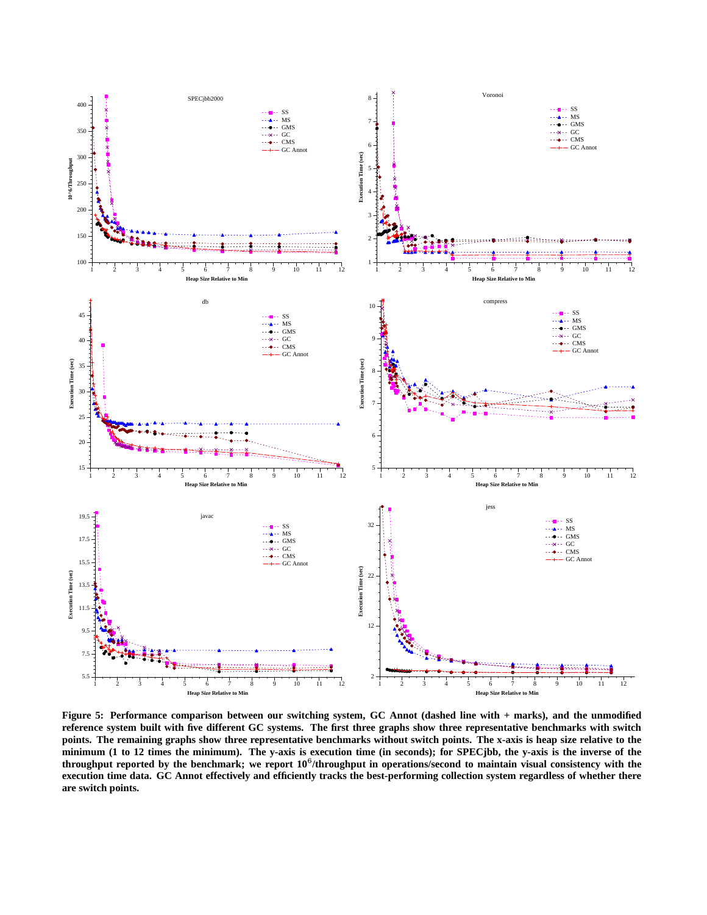

Figure 5: Performance comparison between our switching system, GC Annot (dashed line with + marks), and the unmodified reference system built with five different GC systems. The first three graphs show three representative benchmarks with switch points. The remaining graphs show three representative benchmarks without switch points. The x-axis is heap size relative to the minimum (1 to 12 times the minimum). The y-axis is execution time (in seconds); for SPECjbb, the y-axis is the inverse of the throughput reported by the benchmark; we report 10<sup>6</sup>/throughput in operations/second to maintain visual consistency with the execution time data. GC Annot effectively and efficiently tracks the best-performing collection system regardless of whether there **are switch points.**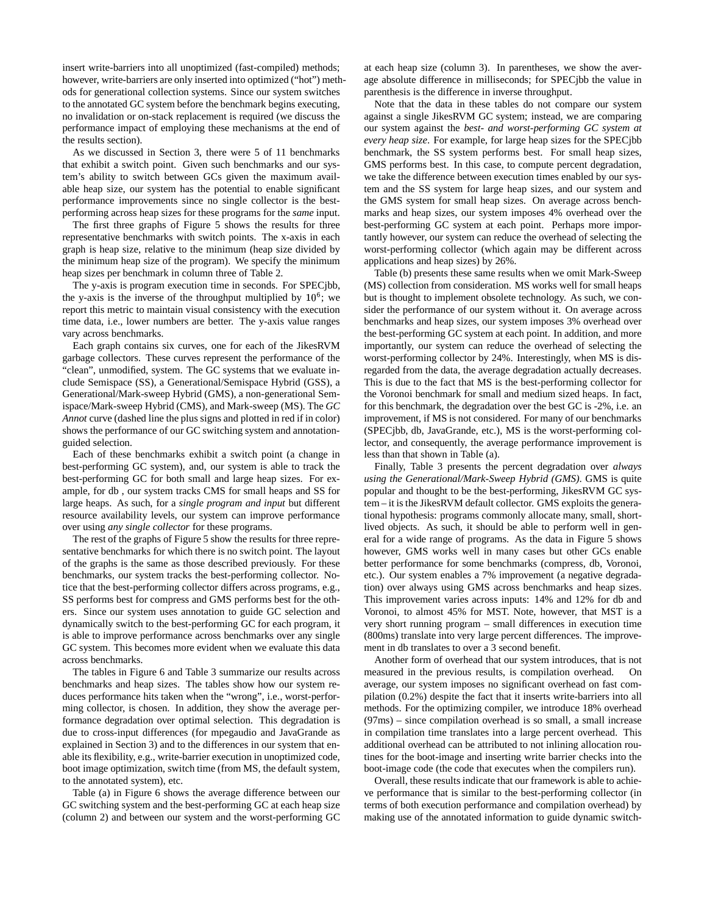insert write-barriers into all unoptimized (fast-compiled) methods; however, write-barriers are only inserted into optimized ("hot") methods for generational collection systems. Since our system switches to the annotated GC system before the benchmark begins executing, no invalidation or on-stack replacement is required (we discuss the performance impact of employing these mechanisms at the end of the results section).

As we discussed in Section 3, there were 5 of 11 benchmarks that exhibit a switch point. Given such benchmarks and our system's ability to switch between GCs given the maximum available heap size, our system has the potential to enable significant performance improvements since no single collector is the bestperforming across heap sizes for these programs for the *same* input.

The first three graphs of Figure 5 shows the results for three representative benchmarks with switch points. The x-axis in each graph is heap size, relative to the minimum (heap size divided by the minimum heap size of the program). We specify the minimum heap sizes per benchmark in column three of Table 2.

The y-axis is program execution time in seconds. For SPECjbb, the y-axis is the inverse of the throughput multiplied by  $10^6$ ; we report this metric to maintain visual consistency with the execution time data, i.e., lower numbers are better. The y-axis value ranges vary across benchmarks.

Each graph contains six curves, one for each of the JikesRVM garbage collectors. These curves represent the performance of the "clean", unmodified, system. The GC systems that we evaluate include Semispace (SS), a Generational/Semispace Hybrid (GSS), a Generational/Mark-sweep Hybrid (GMS), a non-generational Semispace/Mark-sweep Hybrid (CMS), and Mark-sweep (MS). The *GC Annot* curve (dashed line the plus signs and plotted in red if in color) shows the performance of our GC switching system and annotationguided selection.

Each of these benchmarks exhibit a switch point (a change in best-performing GC system), and, our system is able to track the best-performing GC for both small and large heap sizes. For example, for db , our system tracks CMS for small heaps and SS for large heaps. As such, for a *single program and input* but different resource availability levels, our system can improve performance over using *any single collector* for these programs.

The rest of the graphs of Figure 5 show the results for three representative benchmarks for which there is no switch point. The layout of the graphs is the same as those described previously. For these benchmarks, our system tracks the best-performing collector. Notice that the best-performing collector differs across programs, e.g., SS performs best for compress and GMS performs best for the others. Since our system uses annotation to guide GC selection and dynamically switch to the best-performing GC for each program, it is able to improve performance across benchmarks over any single GC system. This becomes more evident when we evaluate this data across benchmarks.

The tables in Figure 6 and Table 3 summarize our results across benchmarks and heap sizes. The tables show how our system reduces performance hits taken when the "wrong", i.e., worst-performing collector, is chosen. In addition, they show the average performance degradation over optimal selection. This degradation is due to cross-input differences (for mpegaudio and JavaGrande as explained in Section 3) and to the differences in our system that enable its flexibility, e.g., write-barrier execution in unoptimized code, boot image optimization, switch time (from MS, the default system, to the annotated system), etc.

Table (a) in Figure 6 shows the average difference between our GC switching system and the best-performing GC at each heap size (column 2) and between our system and the worst-performing GC at each heap size (column 3). In parentheses, we show the average absolute difference in milliseconds; for SPECjbb the value in parenthesis is the difference in inverse throughput.

Note that the data in these tables do not compare our system against a single JikesRVM GC system; instead, we are comparing our system against the *best- and worst-performing GC system at every heap size*. For example, for large heap sizes for the SPECjbb benchmark, the SS system performs best. For small heap sizes, GMS performs best. In this case, to compute percent degradation, we take the difference between execution times enabled by our system and the SS system for large heap sizes, and our system and the GMS system for small heap sizes. On average across benchmarks and heap sizes, our system imposes 4% overhead over the best-performing GC system at each point. Perhaps more importantly however, our system can reduce the overhead of selecting the worst-performing collector (which again may be different across applications and heap sizes) by 26%.

Table (b) presents these same results when we omit Mark-Sweep (MS) collection from consideration. MS works well for small heaps but is thought to implement obsolete technology. As such, we consider the performance of our system without it. On average across benchmarks and heap sizes, our system imposes 3% overhead over the best-performing GC system at each point. In addition, and more importantly, our system can reduce the overhead of selecting the worst-performing collector by 24%. Interestingly, when MS is disregarded from the data, the average degradation actually decreases. This is due to the fact that MS is the best-performing collector for the Voronoi benchmark for small and medium sized heaps. In fact, for this benchmark, the degradation over the best GC is -2%, i.e. an improvement, if MS is not considered. For many of our benchmarks (SPECjbb, db, JavaGrande, etc.), MS is the worst-performing collector, and consequently, the average performance improvement is less than that shown in Table (a).

Finally, Table 3 presents the percent degradation over *always using the Generational/Mark-Sweep Hybrid (GMS)*. GMS is quite popular and thought to be the best-performing, JikesRVM GC system – it is the JikesRVM default collector. GMS exploits the generational hypothesis: programs commonly allocate many, small, shortlived objects. As such, it should be able to perform well in general for a wide range of programs. As the data in Figure 5 shows however, GMS works well in many cases but other GCs enable better performance for some benchmarks (compress, db, Voronoi, etc.). Our system enables a 7% improvement (a negative degradation) over always using GMS across benchmarks and heap sizes. This improvement varies across inputs: 14% and 12% for db and Voronoi, to almost 45% for MST. Note, however, that MST is a very short running program – small differences in execution time (800ms) translate into very large percent differences. The improvement in db translates to over a 3 second benefit.

Another form of overhead that our system introduces, that is not measured in the previous results, is compilation overhead. On average, our system imposes no significant overhead on fast compilation (0.2%) despite the fact that it inserts write-barriers into all methods. For the optimizing compiler, we introduce 18% overhead (97ms) – since compilation overhead is so small, a small increase in compilation time translates into a large percent overhead. This additional overhead can be attributed to not inlining allocation routines for the boot-image and inserting write barrier checks into the boot-image code (the code that executes when the compilers run).

Overall, these results indicate that our framework is able to achieve performance that is similar to the best-performing collector (in terms of both execution performance and compilation overhead) by making use of the annotated information to guide dynamic switch-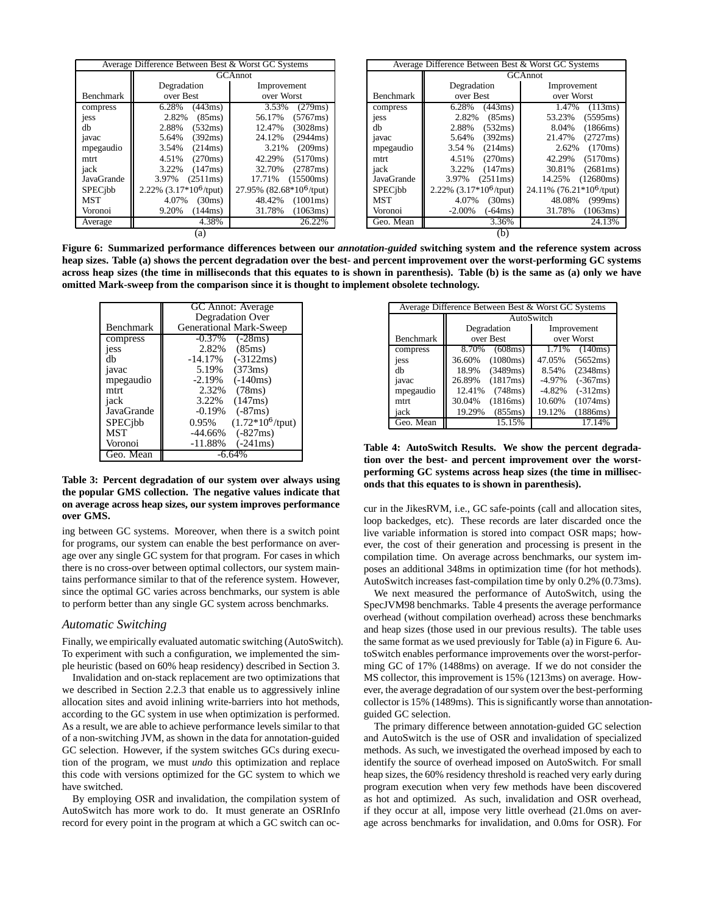| Average Difference Between Best & Worst GC Systems |                                 |                                   | Average Difference Between Best & Worst GC Systems |                                 |                                   |
|----------------------------------------------------|---------------------------------|-----------------------------------|----------------------------------------------------|---------------------------------|-----------------------------------|
|                                                    | <b>GCAnnot</b>                  |                                   |                                                    | <b>GCAnnot</b>                  |                                   |
|                                                    | Degradation                     | Improvement                       |                                                    | Degradation                     | Improvement                       |
| Benchmark                                          | over Best                       | over Worst                        | Benchmark                                          | over Best                       | over Worst                        |
| compress                                           | 6.28%<br>(443ms)                | 3.53%<br>(279ms)                  | compress                                           | (443ms)<br>6.28%                | 1.47%<br>(113ms)                  |
| jess                                               | 2.82%<br>(85ms)                 | 56.17%<br>(5767ms)                | jess                                               | 2.82%<br>(85ms)                 | 53.23%<br>(5595ms)                |
| dh                                                 | 2.88%<br>(532ms)                | 12.47%<br>(3028ms)                | dh                                                 | 2.88%<br>(532ms)                | 8.04%<br>(1866ms)                 |
| javac                                              | 5.64%<br>(392ms)                | 24.12%<br>(2944ms)                | javac                                              | (392ms)<br>5.64%                | (2727ms)<br>21.47%                |
| mpegaudio                                          | 3.54%<br>(214ms)                | 3.21%<br>(209ms)                  | mpegaudio                                          | 3.54 %<br>(214ms)               | 2.62%<br>(170ms)                  |
| mtrt                                               | 4.51%<br>(270ms)                | 42.29%<br>(5170ms)                | mtrt                                               | (270ms)<br>4.51%                | (5170ms)<br>42.29%                |
| jack                                               | 3.22%<br>(147ms)                | 32.70%<br>(2787ms)                | jack                                               | 3.22%<br>(147ms)                | (2681ms)<br>30.81%                |
| JavaGrande                                         | (2511ms)<br>3.97%               | (15500ms)<br>17.71%               | JavaGrande                                         | 3.97%<br>(2511ms)               | 14.25%<br>(12680ms)               |
| SPECibb                                            | 2.22% $(3.17*10^6/\text{tput})$ | 27.95% $(82.68*10^6/\text{tput})$ | SPECibb                                            | 2.22% $(3.17*10^6/\text{tput})$ | 24.11% $(76.21*10^6/\text{tput})$ |
| <b>MST</b>                                         | 4.07%<br>(30ms)                 | (1001ms)<br>48.42%                | <b>MST</b>                                         | 4.07%<br>(30ms)                 | 48.08%<br>(999ms)                 |
| Voronoi                                            | 9.20%<br>(144ms)                | 31.78%<br>(1063ms)                | Voronoi                                            | $-2.00\%$<br>(-64ms)            | 31.78%<br>(1063ms)                |
| Average                                            | 4.38%                           | 26.22%                            | Geo. Mean                                          | 3.36%                           | 24.13%                            |
| (a)                                                |                                 |                                   |                                                    | (b)                             |                                   |

Figure 6: Summarized performance differences between our annotation-guided switching system and the reference system across heap sizes. Table (a) shows the percent degradation over the best- and percent improvement over the worst-performing GC systems across heap sizes (the time in milliseconds that this equates to is shown in parenthesis). Table (b) is the same as (a) only we have **omitted Mark-sweep from the comparison since it is thought to implement obsolete technology.**

|                   | GC Annot: Average<br>Degradation Over |  |  |
|-------------------|---------------------------------------|--|--|
| Benchmark         | Generational Mark-Sweep               |  |  |
| compress          | $-0.37\%$ $(-28ms)$                   |  |  |
| jess              | 2.82% (85ms)                          |  |  |
| dh                | -14.17%<br>$(-3122ms)$                |  |  |
| javac             | (373ms)<br>5.19%                      |  |  |
| mpegaudio         | $(-140ms)$<br>-2.19%                  |  |  |
| mtrt              | 2.32%<br>(78ms)                       |  |  |
| jack              | (147ms)<br>3.22%                      |  |  |
| <b>JavaGrande</b> | $-0.19\%$<br>$(-87ms)$                |  |  |
| SPECibb           | $(1.72*10^6/\text{tput})$<br>0.95%    |  |  |
| <b>MST</b>        | $-44.66\%$<br>$(-827ms)$              |  |  |
| Voronoi           | $(-241ms)$<br>$-11.88%$               |  |  |
| Geo. Mean         |                                       |  |  |

#### **Table 3: Percent degradation of our system over always using the popular GMS collection. The negative values indicate that on average across heap sizes, our system improves performance over GMS.**

ing between GC systems. Moreover, when there is a switch point for programs, our system can enable the best performance on average over any single GC system for that program. For cases in which there is no cross-over between optimal collectors, our system maintains performance similar to that of the reference system. However, since the optimal GC varies across benchmarks, our system is able to perform better than any single GC system across benchmarks.

#### *Automatic Switching*

Finally, we empirically evaluated automatic switching (AutoSwitch). To experiment with such a configuration, we implemented the simple heuristic (based on 60% heap residency) described in Section 3.

Invalidation and on-stack replacement are two optimizations that we described in Section 2.2.3 that enable us to aggressively inline allocation sites and avoid inlining write-barriers into hot methods, according to the GC system in use when optimization is performed. As a result, we are able to achieve performance levels similar to that of a non-switching JVM, as shown in the data for annotation-guided GC selection. However, if the system switches GCs during execution of the program, we must *undo* this optimization and replace this code with versions optimized for the GC system to which we have switched.

By employing OSR and invalidation, the compilation system of AutoSwitch has more work to do. It must generate an OSRInfo record for every point in the program at which a GC switch can oc-

| Average Difference Between Best & Worst GC Systems |                    |                        |  |  |  |
|----------------------------------------------------|--------------------|------------------------|--|--|--|
|                                                    | AutoSwitch         |                        |  |  |  |
|                                                    | Degradation        | Improvement            |  |  |  |
| <b>Benchmark</b>                                   | over Best          | over Worst             |  |  |  |
| compress                                           | 8.70%<br>(608ms)   | 1.71%<br>(140ms)       |  |  |  |
| jess                                               | (1080ms)<br>36.60% | 47.05%<br>(5652ms)     |  |  |  |
| dh                                                 | (3489ms)<br>18.9%  | (2348ms)<br>8.54%      |  |  |  |
| javac                                              | (1817ms)<br>26.89% | $(-367ms)$<br>$-4.97%$ |  |  |  |
| mpegaudio                                          | 12.41%<br>(748ms)  | $(-312ms)$<br>$-4.82%$ |  |  |  |
| mtrt.                                              | 30.04%<br>(1816ms) | 10.60%<br>(1074ms)     |  |  |  |
| jack                                               | 19.29%<br>(855ms)  | 19.12%<br>(1886ms)     |  |  |  |
| Geo. Mean                                          | 15.15%             | 17.14%                 |  |  |  |

**Table 4: AutoSwitch Results. We show the percent degradation over the best- and percent improvement over the worstperforming GC systems across heap sizes (the time in milliseconds that this equates to is shown in parenthesis).**

cur in the JikesRVM, i.e., GC safe-points (call and allocation sites, loop backedges, etc). These records are later discarded once the live variable information is stored into compact OSR maps; however, the cost of their generation and processing is present in the compilation time. On average across benchmarks, our system imposes an additional 348ms in optimization time (for hot methods). AutoSwitch increases fast-compilation time by only 0.2% (0.73ms).

We next measured the performance of AutoSwitch, using the SpecJVM98 benchmarks. Table 4 presents the average performance overhead (without compilation overhead) across these benchmarks and heap sizes (those used in our previous results). The table uses the same format as we used previously for Table (a) in Figure 6. AutoSwitch enables performance improvements over the worst-performing GC of 17% (1488ms) on average. If we do not consider the MS collector, this improvement is 15% (1213ms) on average. However, the average degradation of our system over the best-performing collector is 15% (1489ms). This is significantly worse than annotationguided GC selection.

The primary difference between annotation-guided GC selection and AutoSwitch is the use of OSR and invalidation of specialized methods. As such, we investigated the overhead imposed by each to identify the source of overhead imposed on AutoSwitch. For small heap sizes, the 60% residency threshold is reached very early during program execution when very few methods have been discovered as hot and optimized. As such, invalidation and OSR overhead, if they occur at all, impose very little overhead (21.0ms on average across benchmarks for invalidation, and 0.0ms for OSR). For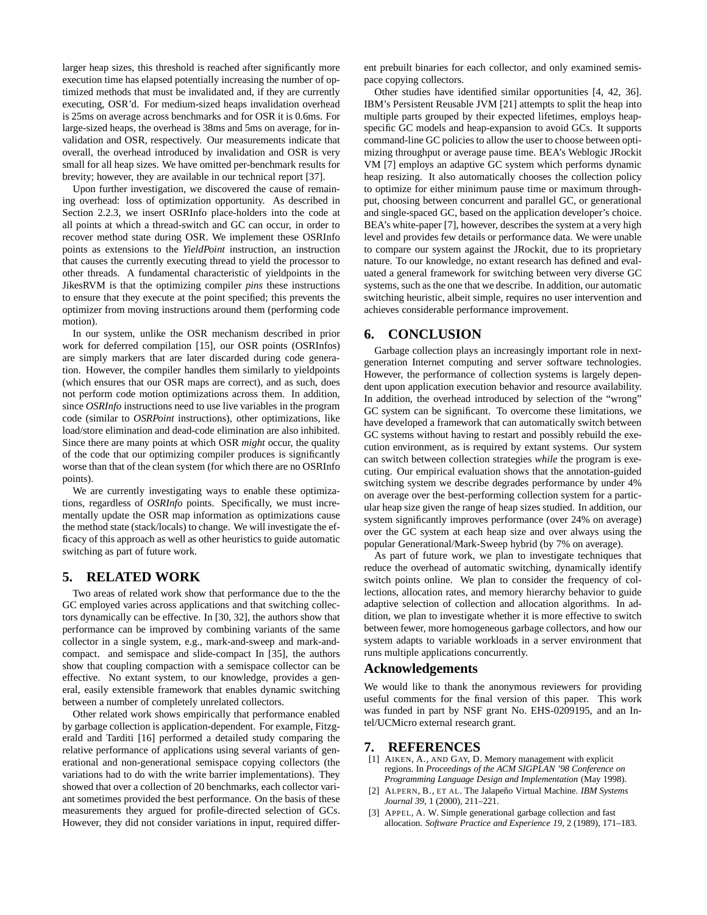larger heap sizes, this threshold is reached after significantly more execution time has elapsed potentially increasing the number of optimized methods that must be invalidated and, if they are currently executing, OSR'd. For medium-sized heaps invalidation overhead is 25ms on average across benchmarks and for OSR it is 0.6ms. For large-sized heaps, the overhead is 38ms and 5ms on average, for invalidation and OSR, respectively. Our measurements indicate that overall, the overhead introduced by invalidation and OSR is very small for all heap sizes. We have omitted per-benchmark results for brevity; however, they are available in our technical report [37].

Upon further investigation, we discovered the cause of remaining overhead: loss of optimization opportunity. As described in Section 2.2.3, we insert OSRInfo place-holders into the code at all points at which a thread-switch and GC can occur, in order to recover method state during OSR. We implement these OSRInfo points as extensions to the *YieldPoint* instruction, an instruction that causes the currently executing thread to yield the processor to other threads. A fundamental characteristic of yieldpoints in the JikesRVM is that the optimizing compiler *pins* these instructions to ensure that they execute at the point specified; this prevents the optimizer from moving instructions around them (performing code motion).

In our system, unlike the OSR mechanism described in prior work for deferred compilation [15], our OSR points (OSRInfos) are simply markers that are later discarded during code generation. However, the compiler handles them similarly to yieldpoints (which ensures that our OSR maps are correct), and as such, does not perform code motion optimizations across them. In addition, since *OSRInfo* instructions need to use live variables in the program code (similar to *OSRPoint* instructions), other optimizations, like load/store elimination and dead-code elimination are also inhibited. Since there are many points at which OSR *might* occur, the quality of the code that our optimizing compiler produces is significantly worse than that of the clean system (for which there are no OSRInfo points).

We are currently investigating ways to enable these optimizations, regardless of *OSRInfo* points. Specifically, we must incrementally update the OSR map information as optimizations cause the method state (stack/locals) to change. We will investigate the efficacy of this approach as well as other heuristics to guide automatic switching as part of future work.

#### **5. RELATED WORK**

Two areas of related work show that performance due to the the GC employed varies across applications and that switching collectors dynamically can be effective. In [30, 32], the authors show that performance can be improved by combining variants of the same collector in a single system, e.g., mark-and-sweep and mark-andcompact. and semispace and slide-compact In [35], the authors show that coupling compaction with a semispace collector can be effective. No extant system, to our knowledge, provides a general, easily extensible framework that enables dynamic switching between a number of completely unrelated collectors.

Other related work shows empirically that performance enabled by garbage collection is application-dependent. For example, Fitzgerald and Tarditi [16] performed a detailed study comparing the relative performance of applications using several variants of generational and non-generational semispace copying collectors (the variations had to do with the write barrier implementations). They showed that over a collection of 20 benchmarks, each collector variant sometimes provided the best performance. On the basis of these measurements they argued for profile-directed selection of GCs. However, they did not consider variations in input, required different prebuilt binaries for each collector, and only examined semispace copying collectors.

Other studies have identified similar opportunities [4, 42, 36]. IBM's Persistent Reusable JVM [21] attempts to split the heap into multiple parts grouped by their expected lifetimes, employs heapspecific GC models and heap-expansion to avoid GCs. It supports command-line GC policies to allow the user to choose between optimizing throughput or average pause time. BEA's Weblogic JRockit VM [7] employs an adaptive GC system which performs dynamic heap resizing. It also automatically chooses the collection policy to optimize for either minimum pause time or maximum throughput, choosing between concurrent and parallel GC, or generational and single-spaced GC, based on the application developer's choice. BEA's white-paper [7], however, describes the system at a very high level and provides few details or performance data. We were unable to compare our system against the JRockit, due to its proprietary nature. To our knowledge, no extant research has defined and evaluated a general framework for switching between very diverse GC systems, such as the one that we describe. In addition, our automatic switching heuristic, albeit simple, requires no user intervention and achieves considerable performance improvement.

#### **6. CONCLUSION**

Garbage collection plays an increasingly important role in nextgeneration Internet computing and server software technologies. However, the performance of collection systems is largely dependent upon application execution behavior and resource availability. In addition, the overhead introduced by selection of the "wrong" GC system can be significant. To overcome these limitations, we have developed a framework that can automatically switch between GC systems without having to restart and possibly rebuild the execution environment, as is required by extant systems. Our system can switch between collection strategies *while* the program is executing. Our empirical evaluation shows that the annotation-guided switching system we describe degrades performance by under 4% on average over the best-performing collection system for a particular heap size given the range of heap sizes studied. In addition, our system significantly improves performance (over 24% on average) over the GC system at each heap size and over always using the popular Generational/Mark-Sweep hybrid (by 7% on average).

As part of future work, we plan to investigate techniques that reduce the overhead of automatic switching, dynamically identify switch points online. We plan to consider the frequency of collections, allocation rates, and memory hierarchy behavior to guide adaptive selection of collection and allocation algorithms. In addition, we plan to investigate whether it is more effective to switch between fewer, more homogeneous garbage collectors, and how our system adapts to variable workloads in a server environment that runs multiple applications concurrently.

## **Acknowledgements**

We would like to thank the anonymous reviewers for providing useful comments for the final version of this paper. This work was funded in part by NSF grant No. EHS-0209195, and an Intel/UCMicro external research grant.

#### **7. REFERENCES**

- [1] AIKEN, A., AND GAY, D. Memory management with explicit regions. In *Proceedings of the ACM SIGPLAN '98 Conference on Programming Language Design and Implementation* (May 1998).
- [2] ALPERN, B., ET AL. The Jalapeño Virtual Machine. *IBM Systems Journal 39*, 1 (2000), 211–221.
- APPEL, A. W. Simple generational garbage collection and fast allocation. *Software Practice and Experience 19*, 2 (1989), 171–183.